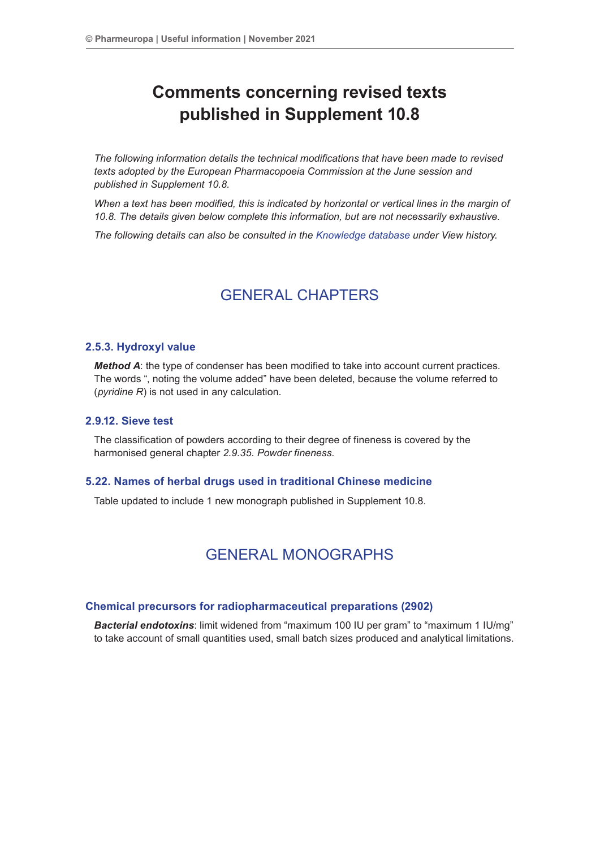# **Comments concerning revised texts published in Supplement 10.8**

*The following information details the technical modifications that have been made to revised texts adopted by the European Pharmacopoeia Commission at the June session and published in Supplement 10.8.*

*When a text has been modified, this is indicated by horizontal or vertical lines in the margin of 10.8. The details given below complete this information, but are not necessarily exhaustive.*

*The following details can also be consulted in the [Knowledge database](http://www.edqm.eu/site/Databases-10.html) under View history.*

## GENERAL CHAPTERS

## **2.5.3. Hydroxyl value**

*Method A*: the type of condenser has been modified to take into account current practices. The words ", noting the volume added" have been deleted, because the volume referred to (*pyridine R*) is not used in any calculation.

## **2.9.12. Sieve test**

The classification of powders according to their degree of fineness is covered by the harmonised general chapter *2.9.35. Powder fineness*.

## **5.22. Names of herbal drugs used in traditional Chinese medicine**

Table updated to include 1 new monograph published in Supplement 10.8.

## GENERAL MONOGRAPHS

### **Chemical precursors for radiopharmaceutical preparations (2902)**

*Bacterial endotoxins*: limit widened from "maximum 100 IU per gram" to "maximum 1 IU/mg" to take account of small quantities used, small batch sizes produced and analytical limitations.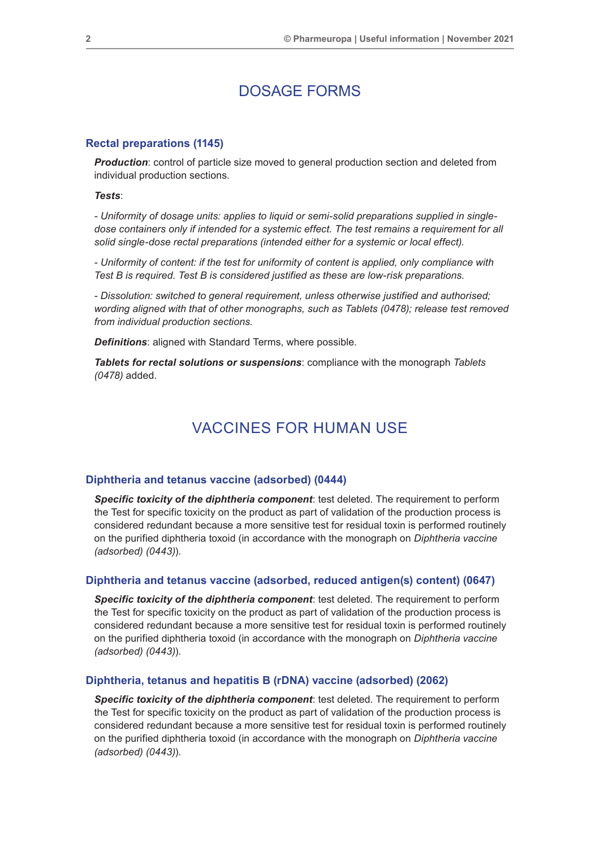## DOSAGE FORMS

#### **Rectal preparations (1145)**

**Production**: control of particle size moved to general production section and deleted from individual production sections.

*Tests*:

*- Uniformity of dosage units: applies to liquid or semi-solid preparations supplied in singledose containers only if intended for a systemic effect. The test remains a requirement for all solid single-dose rectal preparations (intended either for a systemic or local effect).*

*- Uniformity of content: if the test for uniformity of content is applied, only compliance with Test B is required. Test B is considered justified as these are low-risk preparations.*

*- Dissolution: switched to general requirement, unless otherwise justified and authorised; wording aligned with that of other monographs, such as Tablets (0478); release test removed from individual production sections.*

*Definitions*: aligned with Standard Terms, where possible.

*Tablets for rectal solutions or suspensions*: compliance with the monograph *Tablets (0478)* added.

## VACCINES FOR HUMAN USE

#### **Diphtheria and tetanus vaccine (adsorbed) (0444)**

*Specific toxicity of the diphtheria component*: test deleted. The requirement to perform the Test for specific toxicity on the product as part of validation of the production process is considered redundant because a more sensitive test for residual toxin is performed routinely on the purified diphtheria toxoid (in accordance with the monograph on *Diphtheria vaccine (adsorbed) (0443)*).

#### **Diphtheria and tetanus vaccine (adsorbed, reduced antigen(s) content) (0647)**

*Specific toxicity of the diphtheria component*: test deleted. The requirement to perform the Test for specific toxicity on the product as part of validation of the production process is considered redundant because a more sensitive test for residual toxin is performed routinely on the purified diphtheria toxoid (in accordance with the monograph on *Diphtheria vaccine (adsorbed) (0443)*).

#### **Diphtheria, tetanus and hepatitis B (rDNA) vaccine (adsorbed) (2062)**

*Specific toxicity of the diphtheria component*: test deleted. The requirement to perform the Test for specific toxicity on the product as part of validation of the production process is considered redundant because a more sensitive test for residual toxin is performed routinely on the purified diphtheria toxoid (in accordance with the monograph on *Diphtheria vaccine (adsorbed) (0443)*).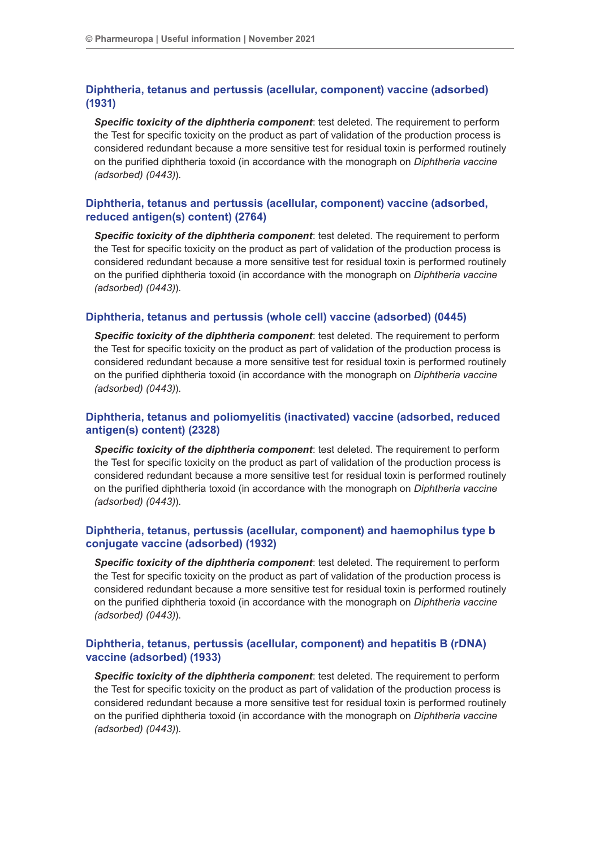## **Diphtheria, tetanus and pertussis (acellular, component) vaccine (adsorbed) (1931)**

*Specific toxicity of the diphtheria component*: test deleted. The requirement to perform the Test for specific toxicity on the product as part of validation of the production process is considered redundant because a more sensitive test for residual toxin is performed routinely on the purified diphtheria toxoid (in accordance with the monograph on *Diphtheria vaccine (adsorbed) (0443)*).

## **Diphtheria, tetanus and pertussis (acellular, component) vaccine (adsorbed, reduced antigen(s) content) (2764)**

*Specific toxicity of the diphtheria component*: test deleted. The requirement to perform the Test for specific toxicity on the product as part of validation of the production process is considered redundant because a more sensitive test for residual toxin is performed routinely on the purified diphtheria toxoid (in accordance with the monograph on *Diphtheria vaccine (adsorbed) (0443)*).

## **Diphtheria, tetanus and pertussis (whole cell) vaccine (adsorbed) (0445)**

*Specific toxicity of the diphtheria component*: test deleted. The requirement to perform the Test for specific toxicity on the product as part of validation of the production process is considered redundant because a more sensitive test for residual toxin is performed routinely on the purified diphtheria toxoid (in accordance with the monograph on *Diphtheria vaccine (adsorbed) (0443)*).

## **Diphtheria, tetanus and poliomyelitis (inactivated) vaccine (adsorbed, reduced antigen(s) content) (2328)**

*Specific toxicity of the diphtheria component*: test deleted. The requirement to perform the Test for specific toxicity on the product as part of validation of the production process is considered redundant because a more sensitive test for residual toxin is performed routinely on the purified diphtheria toxoid (in accordance with the monograph on *Diphtheria vaccine (adsorbed) (0443)*).

## **Diphtheria, tetanus, pertussis (acellular, component) and haemophilus type b conjugate vaccine (adsorbed) (1932)**

*Specific toxicity of the diphtheria component*: test deleted. The requirement to perform the Test for specific toxicity on the product as part of validation of the production process is considered redundant because a more sensitive test for residual toxin is performed routinely on the purified diphtheria toxoid (in accordance with the monograph on *Diphtheria vaccine (adsorbed) (0443)*).

## **Diphtheria, tetanus, pertussis (acellular, component) and hepatitis B (rDNA) vaccine (adsorbed) (1933)**

*Specific toxicity of the diphtheria component*: test deleted. The requirement to perform the Test for specific toxicity on the product as part of validation of the production process is considered redundant because a more sensitive test for residual toxin is performed routinely on the purified diphtheria toxoid (in accordance with the monograph on *Diphtheria vaccine (adsorbed) (0443)*).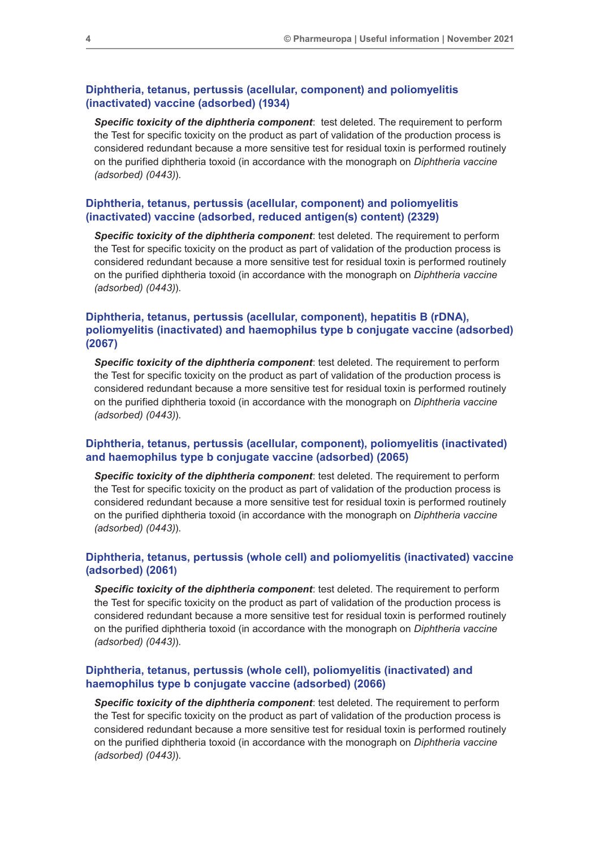## **Diphtheria, tetanus, pertussis (acellular, component) and poliomyelitis (inactivated) vaccine (adsorbed) (1934)**

*Specific toxicity of the diphtheria component*: test deleted. The requirement to perform the Test for specific toxicity on the product as part of validation of the production process is considered redundant because a more sensitive test for residual toxin is performed routinely on the purified diphtheria toxoid (in accordance with the monograph on *Diphtheria vaccine (adsorbed) (0443)*).

## **Diphtheria, tetanus, pertussis (acellular, component) and poliomyelitis (inactivated) vaccine (adsorbed, reduced antigen(s) content) (2329)**

*Specific toxicity of the diphtheria component*: test deleted. The requirement to perform the Test for specific toxicity on the product as part of validation of the production process is considered redundant because a more sensitive test for residual toxin is performed routinely on the purified diphtheria toxoid (in accordance with the monograph on *Diphtheria vaccine (adsorbed) (0443)*).

## **Diphtheria, tetanus, pertussis (acellular, component), hepatitis B (rDNA), poliomyelitis (inactivated) and haemophilus type b conjugate vaccine (adsorbed) (2067)**

*Specific toxicity of the diphtheria component*: test deleted. The requirement to perform the Test for specific toxicity on the product as part of validation of the production process is considered redundant because a more sensitive test for residual toxin is performed routinely on the purified diphtheria toxoid (in accordance with the monograph on *Diphtheria vaccine (adsorbed) (0443)*).

## **Diphtheria, tetanus, pertussis (acellular, component), poliomyelitis (inactivated) and haemophilus type b conjugate vaccine (adsorbed) (2065)**

**Specific toxicity of the diphtheria component:** test deleted. The requirement to perform the Test for specific toxicity on the product as part of validation of the production process is considered redundant because a more sensitive test for residual toxin is performed routinely on the purified diphtheria toxoid (in accordance with the monograph on *Diphtheria vaccine (adsorbed) (0443)*).

## **Diphtheria, tetanus, pertussis (whole cell) and poliomyelitis (inactivated) vaccine (adsorbed) (2061)**

*Specific toxicity of the diphtheria component*: test deleted. The requirement to perform the Test for specific toxicity on the product as part of validation of the production process is considered redundant because a more sensitive test for residual toxin is performed routinely on the purified diphtheria toxoid (in accordance with the monograph on *Diphtheria vaccine (adsorbed) (0443)*).

## **Diphtheria, tetanus, pertussis (whole cell), poliomyelitis (inactivated) and haemophilus type b conjugate vaccine (adsorbed) (2066)**

*Specific toxicity of the diphtheria component*: test deleted. The requirement to perform the Test for specific toxicity on the product as part of validation of the production process is considered redundant because a more sensitive test for residual toxin is performed routinely on the purified diphtheria toxoid (in accordance with the monograph on *Diphtheria vaccine (adsorbed) (0443)*).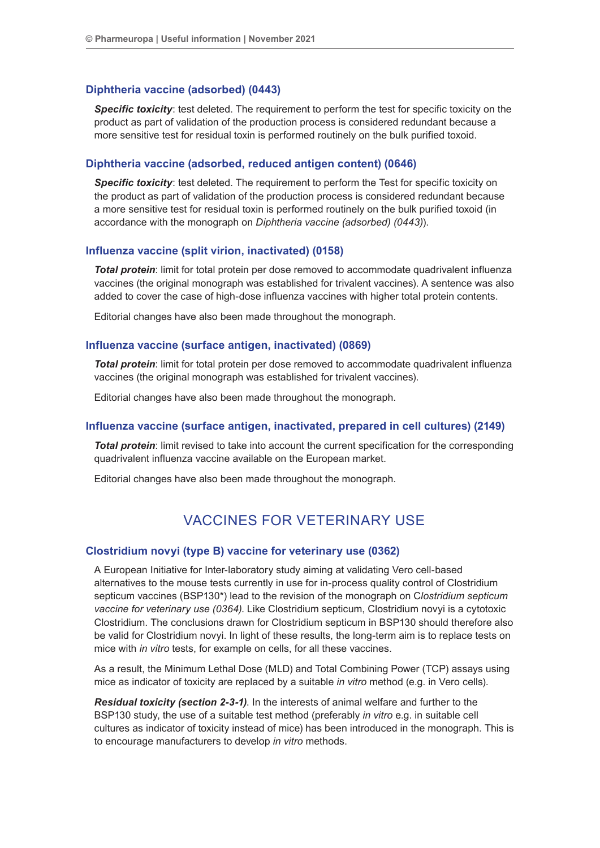## **Diphtheria vaccine (adsorbed) (0443)**

*Specific toxicity*: test deleted. The requirement to perform the test for specific toxicity on the product as part of validation of the production process is considered redundant because a more sensitive test for residual toxin is performed routinely on the bulk purified toxoid.

## **Diphtheria vaccine (adsorbed, reduced antigen content) (0646)**

**Specific toxicity**: test deleted. The requirement to perform the Test for specific toxicity on the product as part of validation of the production process is considered redundant because a more sensitive test for residual toxin is performed routinely on the bulk purified toxoid (in accordance with the monograph on *Diphtheria vaccine (adsorbed) (0443)*).

## **Influenza vaccine (split virion, inactivated) (0158)**

*Total protein*: limit for total protein per dose removed to accommodate quadrivalent influenza vaccines (the original monograph was established for trivalent vaccines). A sentence was also added to cover the case of high-dose influenza vaccines with higher total protein contents.

Editorial changes have also been made throughout the monograph.

### **Influenza vaccine (surface antigen, inactivated) (0869)**

**Total protein**: limit for total protein per dose removed to accommodate quadrivalent influenza vaccines (the original monograph was established for trivalent vaccines).

Editorial changes have also been made throughout the monograph.

## **Influenza vaccine (surface antigen, inactivated, prepared in cell cultures) (2149)**

*Total protein*: limit revised to take into account the current specification for the corresponding quadrivalent influenza vaccine available on the European market.

Editorial changes have also been made throughout the monograph.

## VACCINES FOR VETERINARY USE

## **Clostridium novyi (type B) vaccine for veterinary use (0362)**

A European Initiative for Inter-laboratory study aiming at validating Vero cell-based alternatives to the mouse tests currently in use for in-process quality control of Clostridium septicum vaccines (BSP130\*) lead to the revision of the monograph on C*lostridium septicum vaccine for veterinary use (0364)*. Like Clostridium septicum, Clostridium novyi is a cytotoxic Clostridium. The conclusions drawn for Clostridium septicum in BSP130 should therefore also be valid for Clostridium novyi. In light of these results, the long-term aim is to replace tests on mice with *in vitro* tests, for example on cells, for all these vaccines.

As a result, the Minimum Lethal Dose (MLD) and Total Combining Power (TCP) assays using mice as indicator of toxicity are replaced by a suitable *in vitro* method (e.g. in Vero cells).

*Residual toxicity (section 2-3-1)*. In the interests of animal welfare and further to the BSP130 study, the use of a suitable test method (preferably *in vitro* e.g. in suitable cell cultures as indicator of toxicity instead of mice) has been introduced in the monograph. This is to encourage manufacturers to develop *in vitro* methods.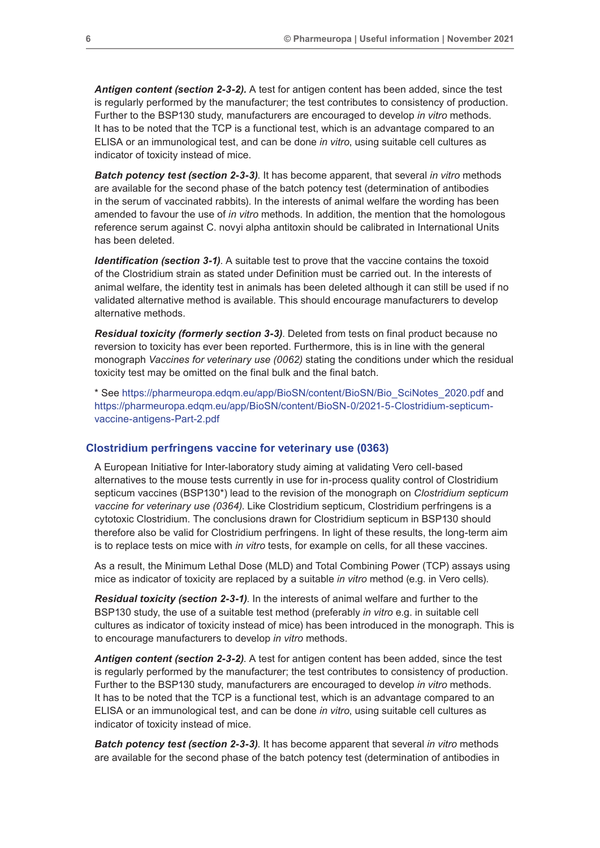*Antigen content (section 2-3-2).* A test for antigen content has been added, since the test is regularly performed by the manufacturer; the test contributes to consistency of production. Further to the BSP130 study, manufacturers are encouraged to develop *in vitro* methods. It has to be noted that the TCP is a functional test, which is an advantage compared to an ELISA or an immunological test, and can be done *in vitro*, using suitable cell cultures as indicator of toxicity instead of mice.

*Batch potency test (section 2-3-3)*. It has become apparent, that several *in vitro* methods are available for the second phase of the batch potency test (determination of antibodies in the serum of vaccinated rabbits). In the interests of animal welfare the wording has been amended to favour the use of *in vitro* methods. In addition, the mention that the homologous reference serum against C. novyi alpha antitoxin should be calibrated in International Units has been deleted.

*Identification (section 3-1)*. A suitable test to prove that the vaccine contains the toxoid of the Clostridium strain as stated under Definition must be carried out. In the interests of animal welfare, the identity test in animals has been deleted although it can still be used if no validated alternative method is available. This should encourage manufacturers to develop alternative methods.

*Residual toxicity (formerly section 3-3)*. Deleted from tests on final product because no reversion to toxicity has ever been reported. Furthermore, this is in line with the general monograph *Vaccines for veterinary use (0062)* stating the conditions under which the residual toxicity test may be omitted on the final bulk and the final batch.

\* See [https://pharmeuropa.edqm.eu/app/BioSN/content/BioSN/Bio\\_SciNotes\\_2020.pdf](https://pharmeuropa.edqm.eu/app/BioSN/content/BioSN/Bio_SciNotes_2020.pdf) and [https://pharmeuropa.edqm.eu/app/BioSN/content/BioSN-0/2021-5-Clostridium-septicum](https://pharmeuropa.edqm.eu/app/BioSN/content/BioSN-0/2021-5-Clostridium-septicum-vaccine-antigens-P)[vaccine-antigens-Part-2.pdf](https://pharmeuropa.edqm.eu/app/BioSN/content/BioSN-0/2021-5-Clostridium-septicum-vaccine-antigens-P)

## **Clostridium perfringens vaccine for veterinary use (0363)**

A European Initiative for Inter-laboratory study aiming at validating Vero cell-based alternatives to the mouse tests currently in use for in-process quality control of Clostridium septicum vaccines (BSP130\*) lead to the revision of the monograph on *Clostridium septicum vaccine for veterinary use (0364)*. Like Clostridium septicum, Clostridium perfringens is a cytotoxic Clostridium. The conclusions drawn for Clostridium septicum in BSP130 should therefore also be valid for Clostridium perfringens. In light of these results, the long-term aim is to replace tests on mice with *in vitro* tests, for example on cells, for all these vaccines.

As a result, the Minimum Lethal Dose (MLD) and Total Combining Power (TCP) assays using mice as indicator of toxicity are replaced by a suitable *in vitro* method (e.g. in Vero cells).

*Residual toxicity (section 2-3-1)*. In the interests of animal welfare and further to the BSP130 study, the use of a suitable test method (preferably *in vitro* e.g. in suitable cell cultures as indicator of toxicity instead of mice) has been introduced in the monograph. This is to encourage manufacturers to develop *in vitro* methods.

*Antigen content (section 2-3-2)*. A test for antigen content has been added, since the test is regularly performed by the manufacturer; the test contributes to consistency of production. Further to the BSP130 study, manufacturers are encouraged to develop *in vitro* methods. It has to be noted that the TCP is a functional test, which is an advantage compared to an ELISA or an immunological test, and can be done *in vitro*, using suitable cell cultures as indicator of toxicity instead of mice.

*Batch potency test (section 2-3-3)*. It has become apparent that several *in vitro* methods are available for the second phase of the batch potency test (determination of antibodies in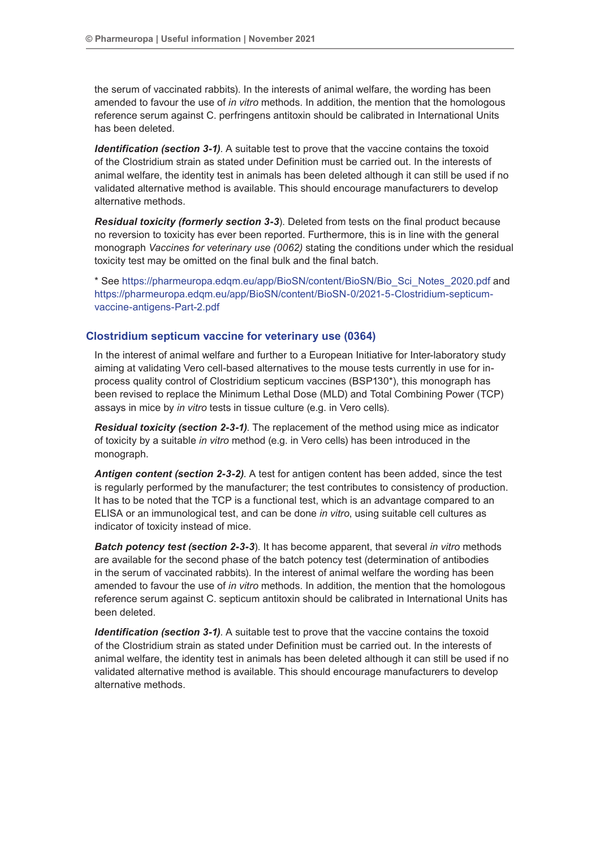the serum of vaccinated rabbits). In the interests of animal welfare, the wording has been amended to favour the use of *in vitro* methods. In addition, the mention that the homologous reference serum against C. perfringens antitoxin should be calibrated in International Units has been deleted.

*Identification (section 3-1).* A suitable test to prove that the vaccine contains the toxoid of the Clostridium strain as stated under Definition must be carried out. In the interests of animal welfare, the identity test in animals has been deleted although it can still be used if no validated alternative method is available. This should encourage manufacturers to develop alternative methods.

*Residual toxicity (formerly section 3-3*). Deleted from tests on the final product because no reversion to toxicity has ever been reported. Furthermore, this is in line with the general monograph *Vaccines for veterinary use (0062)* stating the conditions under which the residual toxicity test may be omitted on the final bulk and the final batch.

\* See [https://pharmeuropa.edqm.eu/app/BioSN/content/BioSN/Bio\\_Sci\\_Notes\\_2020.pdf](https://pharmeuropa.edqm.eu/app/BioSN/content/BioSN/Bio_Sci_Notes_2020.pdf) and [https://pharmeuropa.edqm.eu/app/BioSN/content/BioSN-0/2021-5-Clostridium-septicum](https://pharmeuropa.edqm.eu/app/BioSN/content/BioSN-0/2021-5-Clostridium-septicum-vaccine-antigens-P)[vaccine-antigens-Part-2.pdf](https://pharmeuropa.edqm.eu/app/BioSN/content/BioSN-0/2021-5-Clostridium-septicum-vaccine-antigens-P)

## **Clostridium septicum vaccine for veterinary use (0364)**

In the interest of animal welfare and further to a European Initiative for Inter-laboratory study aiming at validating Vero cell-based alternatives to the mouse tests currently in use for inprocess quality control of Clostridium septicum vaccines (BSP130\*), this monograph has been revised to replace the Minimum Lethal Dose (MLD) and Total Combining Power (TCP) assays in mice by *in vitro* tests in tissue culture (e.g. in Vero cells).

*Residual toxicity (section 2-3-1)*. The replacement of the method using mice as indicator of toxicity by a suitable *in vitro* method (e.g. in Vero cells) has been introduced in the monograph.

*Antigen content (section 2-3-2)*. A test for antigen content has been added, since the test is regularly performed by the manufacturer; the test contributes to consistency of production. It has to be noted that the TCP is a functional test, which is an advantage compared to an ELISA or an immunological test, and can be done *in vitro*, using suitable cell cultures as indicator of toxicity instead of mice.

*Batch potency test (section 2-3-3*). It has become apparent, that several *in vitro* methods are available for the second phase of the batch potency test (determination of antibodies in the serum of vaccinated rabbits). In the interest of animal welfare the wording has been amended to favour the use of *in vitro* methods. In addition, the mention that the homologous reference serum against C. septicum antitoxin should be calibrated in International Units has been deleted.

*Identification (section 3-1).* A suitable test to prove that the vaccine contains the toxoid of the Clostridium strain as stated under Definition must be carried out. In the interests of animal welfare, the identity test in animals has been deleted although it can still be used if no validated alternative method is available. This should encourage manufacturers to develop alternative methods.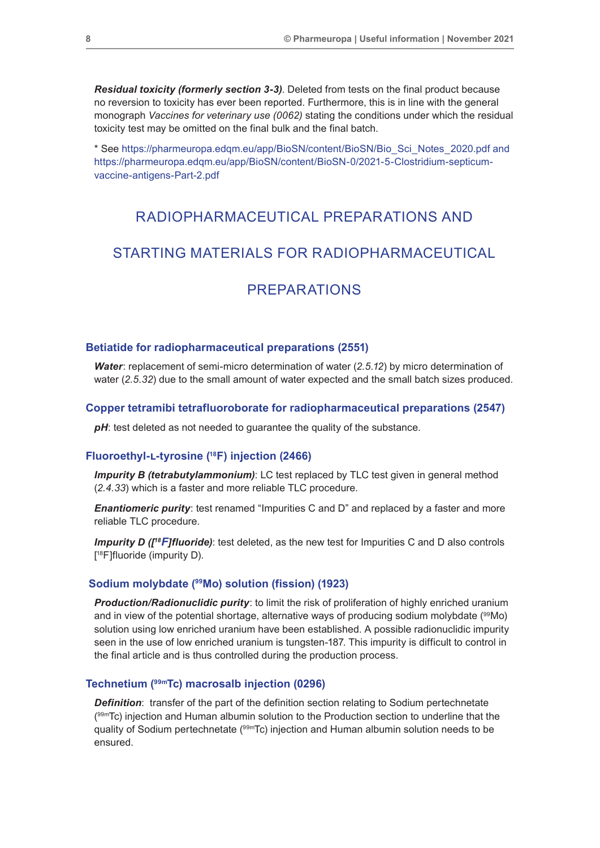*Residual toxicity (formerly section 3-3)*. Deleted from tests on the final product because no reversion to toxicity has ever been reported. Furthermore, this is in line with the general monograph *Vaccines for veterinary use (0062)* stating the conditions under which the residual toxicity test may be omitted on the final bulk and the final batch.

\* See [https://pharmeuropa.edqm.eu/app/BioSN/content/BioSN/Bio\\_Sci\\_Notes\\_2020.pdf and](https://pharmeuropa.edqm.eu/app/BioSN/content/BioSN/Bio_Sci_Notes_2020.pdf and https://pharmeuropa.e)  [https://pharmeuropa.edqm.eu/app/BioSN/content/BioSN-0/2021-5-Clostridium-septicum](https://pharmeuropa.edqm.eu/app/BioSN/content/BioSN/Bio_Sci_Notes_2020.pdf and https://pharmeuropa.e)[vaccine-antigens-Part-2.pdf](https://pharmeuropa.edqm.eu/app/BioSN/content/BioSN/Bio_Sci_Notes_2020.pdf and https://pharmeuropa.e)

## RADIOPHARMACEUTICAL PREPARATIONS AND

## STARTING MATERIALS FOR RADIOPHARMACEUTICAL

## PREPARATIONS

### **Betiatide for radiopharmaceutical preparations (2551)**

*Water*: replacement of semi-micro determination of water (*2.5.12*) by micro determination of water (*2.5.32*) due to the small amount of water expected and the small batch sizes produced.

## **Copper tetramibi tetrafluoroborate for radiopharmaceutical preparations (2547)**

pH: test deleted as not needed to guarantee the quality of the substance.

## **Fluoroethyl-l-tyrosine (18F) injection (2466)**

*Impurity B (tetrabutylammonium)*: LC test replaced by TLC test given in general method (*2.4.33*) which is a faster and more reliable TLC procedure.

*Enantiomeric purity:* test renamed "Impurities C and D" and replaced by a faster and more reliable TLC procedure.

*Impurity D ([<sup>18</sup>F]fluoride*): test deleted, as the new test for Impurities C and D also controls [ 18F]fluoride (impurity D).

### **Sodium molybdate (99Mo) solution (fission) (1923)**

*Production/Radionuclidic purity*: to limit the risk of proliferation of highly enriched uranium and in view of the potential shortage, alternative ways of producing sodium molybdate  $(99Mo)$ solution using low enriched uranium have been established. A possible radionuclidic impurity seen in the use of low enriched uranium is tungsten-187. This impurity is difficult to control in the final article and is thus controlled during the production process.

### **Technetium (99mTc) macrosalb injection (0296)**

**Definition**: transfer of the part of the definition section relating to Sodium pertechnetate ( 99mTc) injection and Human albumin solution to the Production section to underline that the quality of Sodium pertechnetate (99mTc) injection and Human albumin solution needs to be ensured.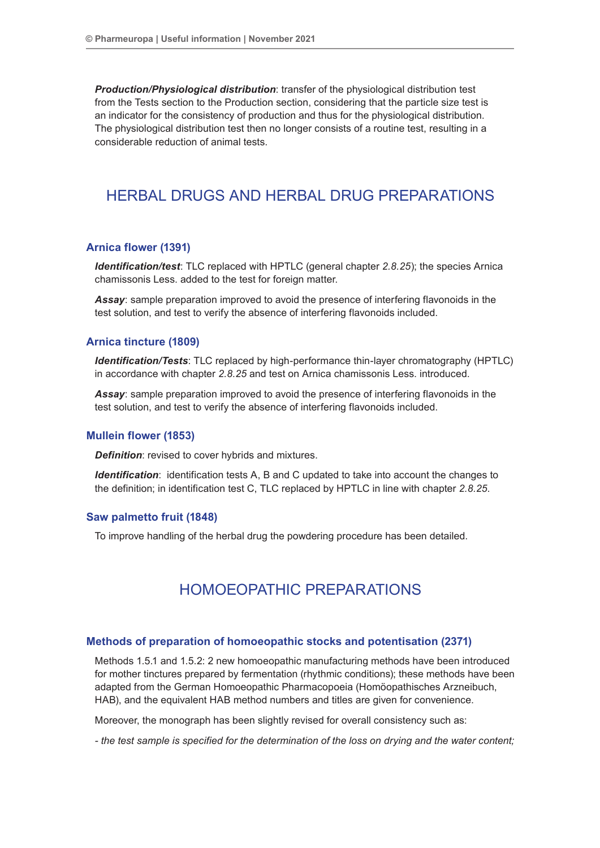*Production/Physiological distribution*: transfer of the physiological distribution test from the Tests section to the Production section, considering that the particle size test is an indicator for the consistency of production and thus for the physiological distribution. The physiological distribution test then no longer consists of a routine test, resulting in a considerable reduction of animal tests.

## HERBAL DRUGS AND HERBAL DRUG PREPARATIONS

## **Arnica flower (1391)**

*Identification/test*: TLC replaced with HPTLC (general chapter *2.8.25*); the species Arnica chamissonis Less. added to the test for foreign matter.

*Assay*: sample preparation improved to avoid the presence of interfering flavonoids in the test solution, and test to verify the absence of interfering flavonoids included.

### **Arnica tincture (1809)**

*Identification/Tests*: TLC replaced by high-performance thin-layer chromatography (HPTLC) in accordance with chapter *2.8.25* and test on Arnica chamissonis Less. introduced.

*Assay*: sample preparation improved to avoid the presence of interfering flavonoids in the test solution, and test to verify the absence of interfering flavonoids included.

#### **Mullein flower (1853)**

*Definition*: revised to cover hybrids and mixtures.

*Identification*: identification tests A, B and C updated to take into account the changes to the definition; in identification test C, TLC replaced by HPTLC in line with chapter *2.8.25*.

## **Saw palmetto fruit (1848)**

To improve handling of the herbal drug the powdering procedure has been detailed.

## HOMOEOPATHIC PREPARATIONS

#### **Methods of preparation of homoeopathic stocks and potentisation (2371)**

Methods 1.5.1 and 1.5.2: 2 new homoeopathic manufacturing methods have been introduced for mother tinctures prepared by fermentation (rhythmic conditions); these methods have been adapted from the German Homoeopathic Pharmacopoeia (Homöopathisches Arzneibuch, HAB), and the equivalent HAB method numbers and titles are given for convenience.

Moreover, the monograph has been slightly revised for overall consistency such as:

*- the test sample is specified for the determination of the loss on drying and the water content;*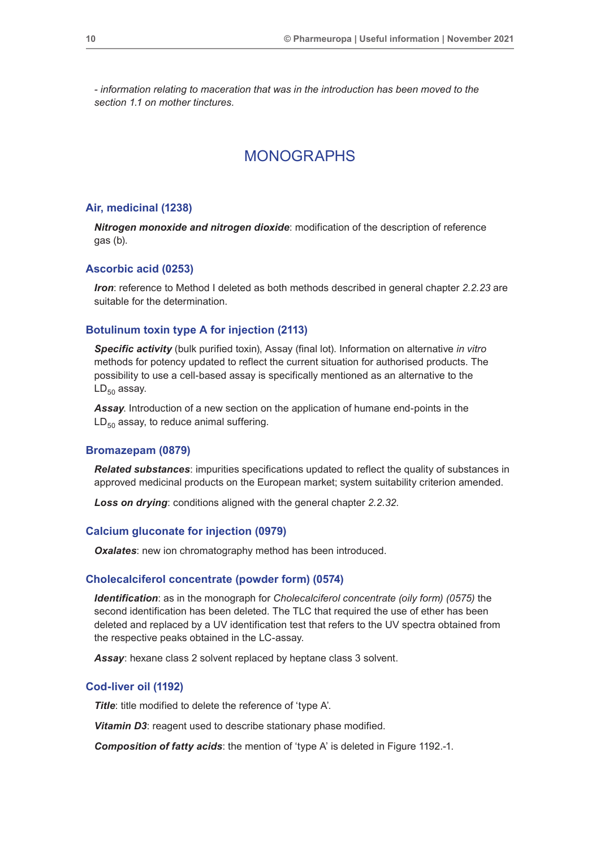*- information relating to maceration that was in the introduction has been moved to the section 1.1 on mother tinctures.*

## MONOGRAPHS

### **Air, medicinal (1238)**

*Nitrogen monoxide and nitrogen dioxide*: modification of the description of reference gas (b).

#### **Ascorbic acid (0253)**

*Iron*: reference to Method I deleted as both methods described in general chapter *2.2.23* are suitable for the determination.

### **Botulinum toxin type A for injection (2113)**

*Specific activity* (bulk purified toxin), Assay (final lot). Information on alternative *in vitro* methods for potency updated to reflect the current situation for authorised products. The possibility to use a cell-based assay is specifically mentioned as an alternative to the  $LD_{50}$  assay.

*Assay*. Introduction of a new section on the application of humane end-points in the  $LD_{50}$  assay, to reduce animal suffering.

#### **Bromazepam (0879)**

*Related substances*: impurities specifications updated to reflect the quality of substances in approved medicinal products on the European market; system suitability criterion amended.

*Loss on drying*: conditions aligned with the general chapter *2.2.32*.

### **Calcium gluconate for injection (0979)**

**Oxalates:** new ion chromatography method has been introduced.

#### **Cholecalciferol concentrate (powder form) (0574)**

*Identification*: as in the monograph for *Cholecalciferol concentrate (oily form) (0575)* the second identification has been deleted. The TLC that required the use of ether has been deleted and replaced by a UV identification test that refers to the UV spectra obtained from the respective peaks obtained in the LC-assay.

*Assay*: hexane class 2 solvent replaced by heptane class 3 solvent.

### **Cod-liver oil (1192)**

*Title*: title modified to delete the reference of 'type A'.

**Vitamin D3:** reagent used to describe stationary phase modified.

*Composition of fatty acids*: the mention of 'type A' is deleted in Figure 1192.-1.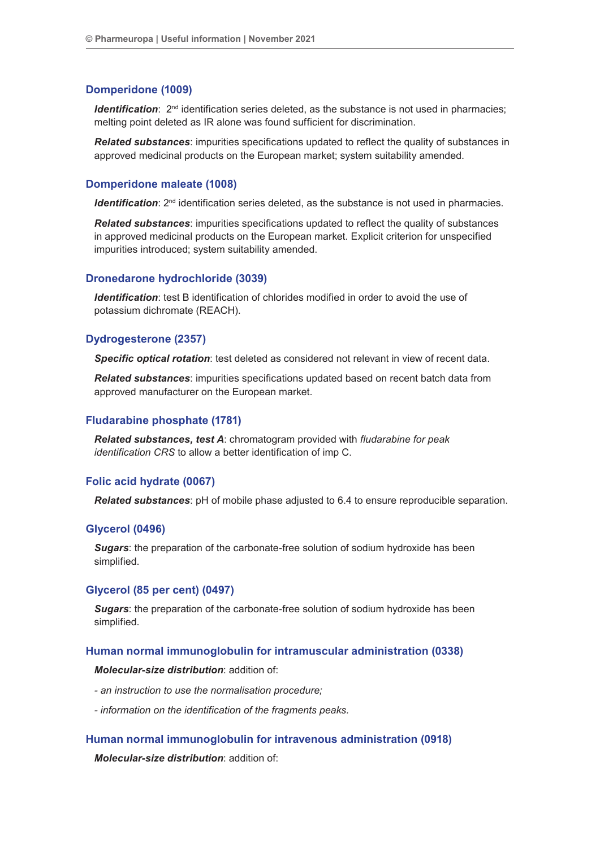### **Domperidone (1009)**

*Identification*:  $2^{nd}$  identification series deleted, as the substance is not used in pharmacies; melting point deleted as IR alone was found sufficient for discrimination.

*Related substances*: impurities specifications updated to reflect the quality of substances in approved medicinal products on the European market; system suitability amended.

## **Domperidone maleate (1008)**

*Identification*:  $2^{nd}$  identification series deleted, as the substance is not used in pharmacies.

*Related substances*: impurities specifications updated to reflect the quality of substances in approved medicinal products on the European market. Explicit criterion for unspecified impurities introduced; system suitability amended.

### **Dronedarone hydrochloride (3039)**

*Identification*: test B identification of chlorides modified in order to avoid the use of potassium dichromate (REACH).

#### **Dydrogesterone (2357)**

*Specific optical rotation*: test deleted as considered not relevant in view of recent data.

*Related substances*: impurities specifications updated based on recent batch data from approved manufacturer on the European market.

#### **Fludarabine phosphate (1781)**

*Related substances, test A*: chromatogram provided with *fludarabine for peak identification CRS* to allow a better identification of imp C.

## **Folic acid hydrate (0067)**

*Related substances*: pH of mobile phase adjusted to 6.4 to ensure reproducible separation.

#### **Glycerol (0496)**

*Sugars*: the preparation of the carbonate-free solution of sodium hydroxide has been simplified.

## **Glycerol (85 per cent) (0497)**

*Sugars*: the preparation of the carbonate-free solution of sodium hydroxide has been simplified.

#### **Human normal immunoglobulin for intramuscular administration (0338)**

#### *Molecular-size distribution*: addition of:

- *an instruction to use the normalisation procedure;*
- *information on the identification of the fragments peaks.*

## **Human normal immunoglobulin for intravenous administration (0918)**

*Molecular-size distribution*: addition of: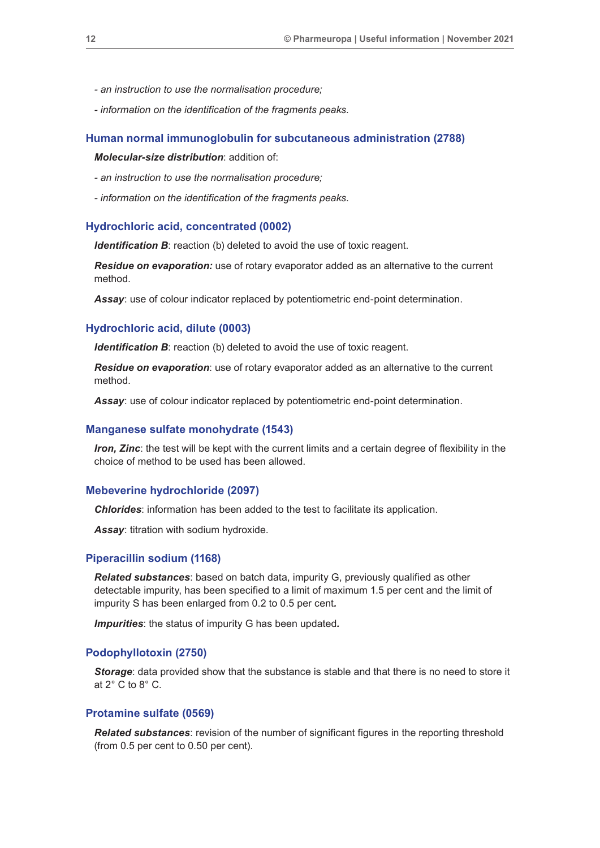- *an instruction to use the normalisation procedure;*
- *information on the identification of the fragments peaks.*

#### **Human normal immunoglobulin for subcutaneous administration (2788)**

*Molecular-size distribution*: addition of:

- *an instruction to use the normalisation procedure;*
- *information on the identification of the fragments peaks.*

## **Hydrochloric acid, concentrated (0002)**

**Identification B**: reaction (b) deleted to avoid the use of toxic reagent.

*Residue on evaporation:* use of rotary evaporator added as an alternative to the current method.

*Assay*: use of colour indicator replaced by potentiometric end-point determination.

#### **Hydrochloric acid, dilute (0003)**

*Identification B*: reaction (b) deleted to avoid the use of toxic reagent.

*Residue on evaporation*: use of rotary evaporator added as an alternative to the current method.

*Assay*: use of colour indicator replaced by potentiometric end-point determination.

#### **Manganese sulfate monohydrate (1543)**

*Iron, Zinc*: the test will be kept with the current limits and a certain degree of flexibility in the choice of method to be used has been allowed.

### **Mebeverine hydrochloride (2097)**

*Chlorides*: information has been added to the test to facilitate its application.

*Assay*: titration with sodium hydroxide.

### **Piperacillin sodium (1168)**

*Related substances*: based on batch data, impurity G, previously qualified as other detectable impurity, has been specified to a limit of maximum 1.5 per cent and the limit of impurity S has been enlarged from 0.2 to 0.5 per cent*.*

*Impurities*: the status of impurity G has been updated*.*

#### **Podophyllotoxin (2750)**

*Storage*: data provided show that the substance is stable and that there is no need to store it at  $2^\circ$  C to  $8^\circ$  C.

## **Protamine sulfate (0569)**

**Related substances:** revision of the number of significant figures in the reporting threshold (from 0.5 per cent to 0.50 per cent).